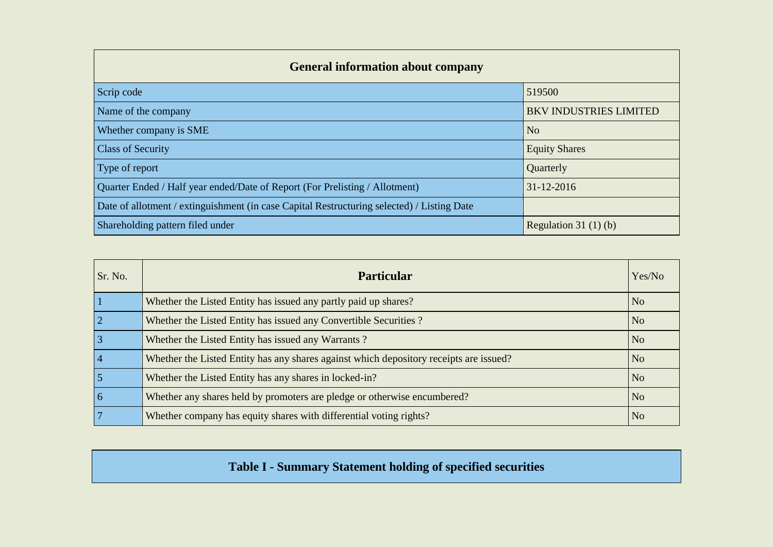| <b>General information about company</b>                                                   |                               |
|--------------------------------------------------------------------------------------------|-------------------------------|
| Scrip code                                                                                 | 519500                        |
| Name of the company                                                                        | <b>BKV INDUSTRIES LIMITED</b> |
| Whether company is SME                                                                     | N <sub>o</sub>                |
| <b>Class of Security</b>                                                                   | <b>Equity Shares</b>          |
| Type of report                                                                             | Quarterly                     |
| Quarter Ended / Half year ended/Date of Report (For Prelisting / Allotment)                | 31-12-2016                    |
| Date of allotment / extinguishment (in case Capital Restructuring selected) / Listing Date |                               |
| Shareholding pattern filed under                                                           | Regulation 31 $(1)(b)$        |

| Sr. No.        | <b>Particular</b>                                                                      | Yes/No         |
|----------------|----------------------------------------------------------------------------------------|----------------|
|                | Whether the Listed Entity has issued any partly paid up shares?                        | N <sub>o</sub> |
| $\overline{2}$ | Whether the Listed Entity has issued any Convertible Securities?                       | N <sub>o</sub> |
| $\overline{3}$ | Whether the Listed Entity has issued any Warrants?                                     | N <sub>0</sub> |
| $\overline{4}$ | Whether the Listed Entity has any shares against which depository receipts are issued? | N <sub>o</sub> |
|                | Whether the Listed Entity has any shares in locked-in?                                 | N <sub>o</sub> |
| $\overline{6}$ | Whether any shares held by promoters are pledge or otherwise encumbered?               | N <sub>o</sub> |
|                | Whether company has equity shares with differential voting rights?                     | N <sub>o</sub> |

## **Table I - Summary Statement holding of specified securities**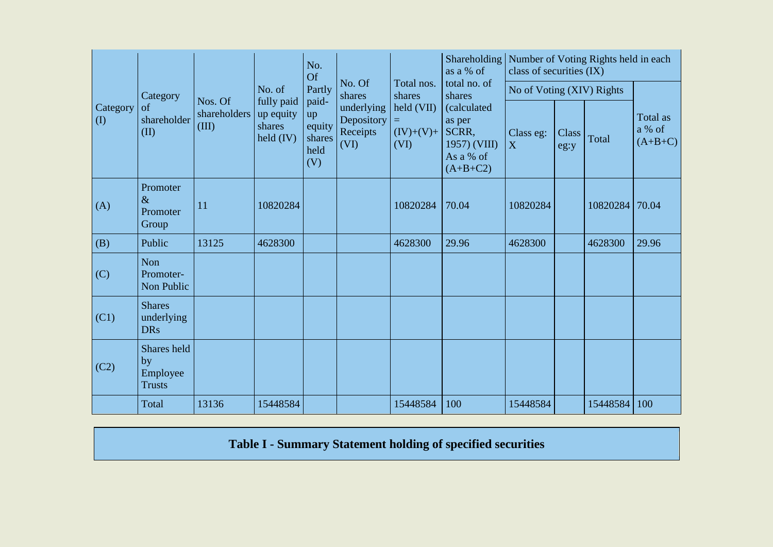|                                        |                                                |                                  |                                                  | No.<br><b>Of</b>                               |                                              |                                         | Shareholding   Number of Voting Rights held in each<br>as a % of                  | class of securities (IX)  |               |          |                                 |
|----------------------------------------|------------------------------------------------|----------------------------------|--------------------------------------------------|------------------------------------------------|----------------------------------------------|-----------------------------------------|-----------------------------------------------------------------------------------|---------------------------|---------------|----------|---------------------------------|
|                                        | Category                                       |                                  | No. of                                           | Partly                                         | No. Of<br>shares                             | Total nos.<br>shares                    | total no. of<br>shares                                                            | No of Voting (XIV) Rights |               |          |                                 |
| Category<br>$\left( \mathrm{I}\right)$ | of<br>shareholder<br>(II)                      | Nos. Of<br>shareholders<br>(III) | fully paid<br>up equity<br>shares<br>held $(IV)$ | paid-<br>up<br>equity<br>shares<br>held<br>(V) | underlying<br>Depository<br>Receipts<br>(VI) | held (VII)<br>Ξ,<br>$(IV)+(V)+$<br>(VI) | <i>(calculated)</i><br>as per<br>SCRR,<br>1957) (VIII)<br>As a % of<br>$(A+B+C2)$ | Class eg:<br>X            | Class<br>eg:y | Total    | Total as<br>a % of<br>$(A+B+C)$ |
| (A)                                    | Promoter<br>$\&$<br>Promoter<br>Group          | 11                               | 10820284                                         |                                                |                                              | 10820284                                | 70.04                                                                             | 10820284                  |               | 10820284 | 70.04                           |
| (B)                                    | Public                                         | 13125                            | 4628300                                          |                                                |                                              | 4628300                                 | 29.96                                                                             | 4628300                   |               | 4628300  | 29.96                           |
| (C)                                    | Non<br>Promoter-<br>Non Public                 |                                  |                                                  |                                                |                                              |                                         |                                                                                   |                           |               |          |                                 |
| (C1)                                   | <b>Shares</b><br>underlying<br><b>DRs</b>      |                                  |                                                  |                                                |                                              |                                         |                                                                                   |                           |               |          |                                 |
| (C2)                                   | Shares held<br>by<br>Employee<br><b>Trusts</b> |                                  |                                                  |                                                |                                              |                                         |                                                                                   |                           |               |          |                                 |
|                                        | Total                                          | 13136                            | 15448584                                         |                                                |                                              | 15448584                                | 100                                                                               | 15448584                  |               | 15448584 | 100                             |

**Table I - Summary Statement holding of specified securities**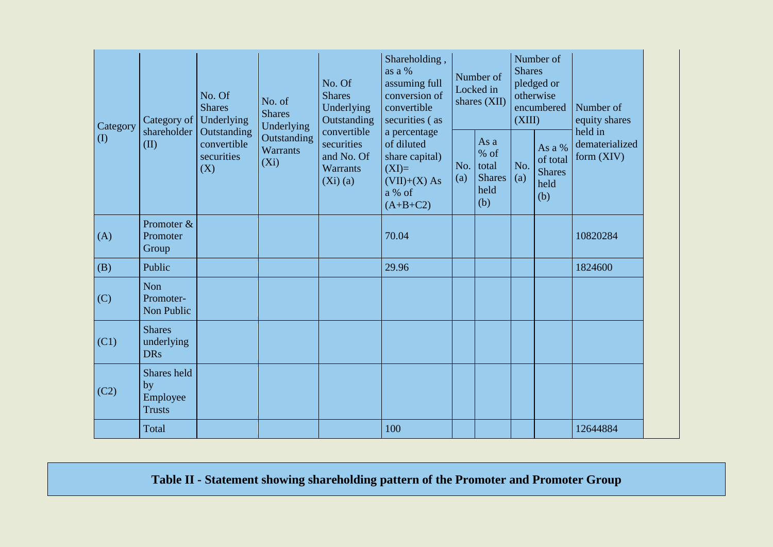| Category                   | Category of                                    | No. Of<br><b>Shares</b><br>Underlying           | No. of<br><b>Shares</b><br>Underlying     | No. Of<br><b>Shares</b><br>Underlying<br>Outstanding                     | Shareholding,<br>as a %<br>assuming full<br>conversion of<br>convertible<br>securities (as        |            | Number of<br>Locked in<br>shares (XII)                | <b>Shares</b><br>(XIII) | Number of<br>pledged or<br>otherwise<br>encumbered | Number of<br>equity shares                |
|----------------------------|------------------------------------------------|-------------------------------------------------|-------------------------------------------|--------------------------------------------------------------------------|---------------------------------------------------------------------------------------------------|------------|-------------------------------------------------------|-------------------------|----------------------------------------------------|-------------------------------------------|
| $\left( \mathrm{I}\right)$ | shareholder<br>(II)                            | Outstanding<br>convertible<br>securities<br>(X) | Outstanding<br><b>Warrants</b><br>$(X_i)$ | convertible<br>securities<br>and No. Of<br><b>Warrants</b><br>$(Xi)$ (a) | a percentage<br>of diluted<br>share capital)<br>$(XI)=$<br>$(VII)+(X) As$<br>a % of<br>$(A+B+C2)$ | No.<br>(a) | As a<br>% of<br>total<br><b>Shares</b><br>held<br>(b) | No.<br>(a)              | As a %<br>of total<br><b>Shares</b><br>held<br>(b) | held in<br>dematerialized<br>form $(XIV)$ |
| (A)                        | Promoter &<br>Promoter<br>Group                |                                                 |                                           |                                                                          | 70.04                                                                                             |            |                                                       |                         |                                                    | 10820284                                  |
| (B)                        | Public                                         |                                                 |                                           |                                                                          | 29.96                                                                                             |            |                                                       |                         |                                                    | 1824600                                   |
| (C)                        | Non<br>Promoter-<br>Non Public                 |                                                 |                                           |                                                                          |                                                                                                   |            |                                                       |                         |                                                    |                                           |
| (C1)                       | <b>Shares</b><br>underlying<br><b>DRs</b>      |                                                 |                                           |                                                                          |                                                                                                   |            |                                                       |                         |                                                    |                                           |
| (C2)                       | Shares held<br>by<br>Employee<br><b>Trusts</b> |                                                 |                                           |                                                                          |                                                                                                   |            |                                                       |                         |                                                    |                                           |
|                            | Total                                          |                                                 |                                           |                                                                          | 100                                                                                               |            |                                                       |                         |                                                    | 12644884                                  |

## **Table II - Statement showing shareholding pattern of the Promoter and Promoter Group**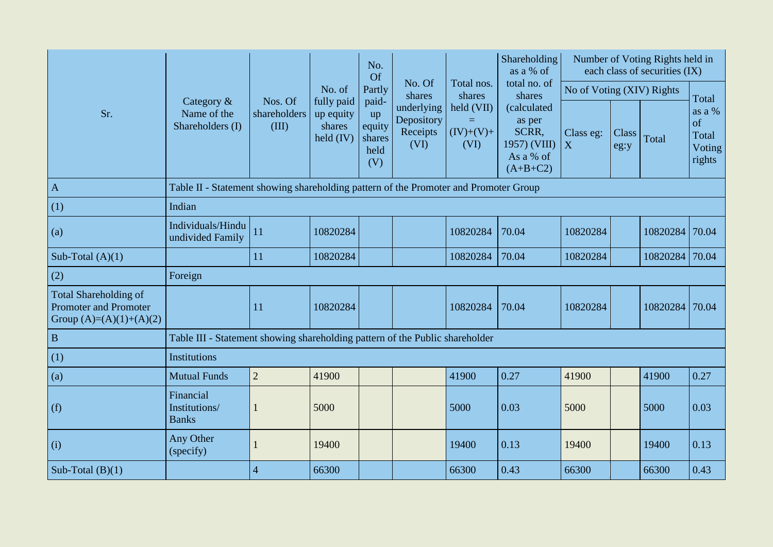|                                                                                           |                                                                                      |                                  |                                                         | No.<br>Of                                      |                                              |                                          | Shareholding<br>as a % of                                                 |                           |               | Number of Voting Rights held in<br>each class of securities (IX) |                                           |
|-------------------------------------------------------------------------------------------|--------------------------------------------------------------------------------------|----------------------------------|---------------------------------------------------------|------------------------------------------------|----------------------------------------------|------------------------------------------|---------------------------------------------------------------------------|---------------------------|---------------|------------------------------------------------------------------|-------------------------------------------|
|                                                                                           |                                                                                      |                                  | No. of                                                  | Partly                                         | No. Of<br>shares                             | Total nos.<br>shares                     | total no. of<br>shares                                                    | No of Voting (XIV) Rights |               |                                                                  | Total                                     |
| Sr.                                                                                       | Category &<br>Name of the<br>Shareholders (I)                                        | Nos. Of<br>shareholders<br>(III) | fully paid<br>up equity<br>shares<br>$\text{held (IV)}$ | paid-<br>up<br>equity<br>shares<br>held<br>(V) | underlying<br>Depository<br>Receipts<br>(VI) | held (VII)<br>$=$<br>$(IV)+(V)+$<br>(VI) | (calculated<br>as per<br>SCRR,<br>1957) (VIII)<br>As a % of<br>$(A+B+C2)$ | Class eg:<br>X            | Class<br>eg:y | Total                                                            | as a %<br>of<br>Total<br>Voting<br>rights |
| $\mathbf{A}$                                                                              | Table II - Statement showing shareholding pattern of the Promoter and Promoter Group |                                  |                                                         |                                                |                                              |                                          |                                                                           |                           |               |                                                                  |                                           |
| (1)                                                                                       | Indian                                                                               |                                  |                                                         |                                                |                                              |                                          |                                                                           |                           |               |                                                                  |                                           |
| (a)                                                                                       | Individuals/Hindu<br>undivided Family                                                | 11                               | 10820284                                                |                                                |                                              | 10820284                                 | 70.04                                                                     | 10820284                  |               | 10820284                                                         | 70.04                                     |
| Sub-Total $(A)(1)$                                                                        |                                                                                      | 11                               | 10820284                                                |                                                |                                              | 10820284                                 | 70.04                                                                     | 10820284                  |               | 10820284                                                         | 70.04                                     |
| (2)                                                                                       | Foreign                                                                              |                                  |                                                         |                                                |                                              |                                          |                                                                           |                           |               |                                                                  |                                           |
| <b>Total Shareholding of</b><br><b>Promoter and Promoter</b><br>Group $(A)=(A)(1)+(A)(2)$ |                                                                                      | 11                               | 10820284                                                |                                                |                                              | 10820284                                 | 70.04                                                                     | 10820284                  |               | 10820284                                                         | 70.04                                     |
| B                                                                                         | Table III - Statement showing shareholding pattern of the Public shareholder         |                                  |                                                         |                                                |                                              |                                          |                                                                           |                           |               |                                                                  |                                           |
| (1)                                                                                       | Institutions                                                                         |                                  |                                                         |                                                |                                              |                                          |                                                                           |                           |               |                                                                  |                                           |
| (a)                                                                                       | <b>Mutual Funds</b>                                                                  | $\overline{2}$                   | 41900                                                   |                                                |                                              | 41900                                    | 0.27                                                                      | 41900                     |               | 41900                                                            | 0.27                                      |
| (f)                                                                                       | Financial<br>Institutions/<br><b>Banks</b>                                           |                                  | 5000                                                    |                                                |                                              | 5000                                     | 0.03                                                                      | 5000                      |               | 5000                                                             | 0.03                                      |
| (i)                                                                                       | Any Other<br>(specify)                                                               |                                  | 19400                                                   |                                                |                                              | 19400                                    | 0.13                                                                      | 19400                     |               | 19400                                                            | 0.13                                      |
| Sub-Total $(B)(1)$                                                                        |                                                                                      | $\overline{4}$                   | 66300                                                   |                                                |                                              | 66300                                    | 0.43                                                                      | 66300                     |               | 66300                                                            | 0.43                                      |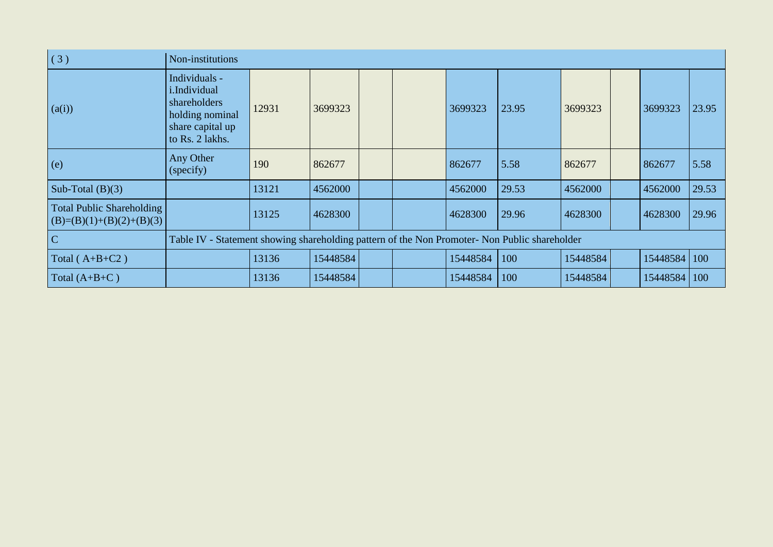| (3)                                                            | Non-institutions                                                                                               |       |          |  |          |       |          |          |       |
|----------------------------------------------------------------|----------------------------------------------------------------------------------------------------------------|-------|----------|--|----------|-------|----------|----------|-------|
| (a(i))                                                         | Individuals -<br><i>i.Individual</i><br>shareholders<br>holding nominal<br>share capital up<br>to Rs. 2 lakhs. | 12931 | 3699323  |  | 3699323  | 23.95 | 3699323  | 3699323  | 23.95 |
| (e)                                                            | Any Other<br>(specify)                                                                                         | 190   | 862677   |  | 862677   | 5.58  | 862677   | 862677   | 5.58  |
| Sub-Total $(B)(3)$                                             |                                                                                                                | 13121 | 4562000  |  | 4562000  | 29.53 | 4562000  | 4562000  | 29.53 |
| <b>Total Public Shareholding</b><br>$(B)=(B)(1)+(B)(2)+(B)(3)$ |                                                                                                                | 13125 | 4628300  |  | 4628300  | 29.96 | 4628300  | 4628300  | 29.96 |
| C                                                              | Table IV - Statement showing shareholding pattern of the Non Promoter- Non Public shareholder                  |       |          |  |          |       |          |          |       |
| Total $(A+B+C2)$                                               |                                                                                                                | 13136 | 15448584 |  | 15448584 | 100   | 15448584 | 15448584 | 100   |
| Total $(A+B+C)$                                                |                                                                                                                | 13136 | 15448584 |  | 15448584 | 100   | 15448584 | 15448584 | 100   |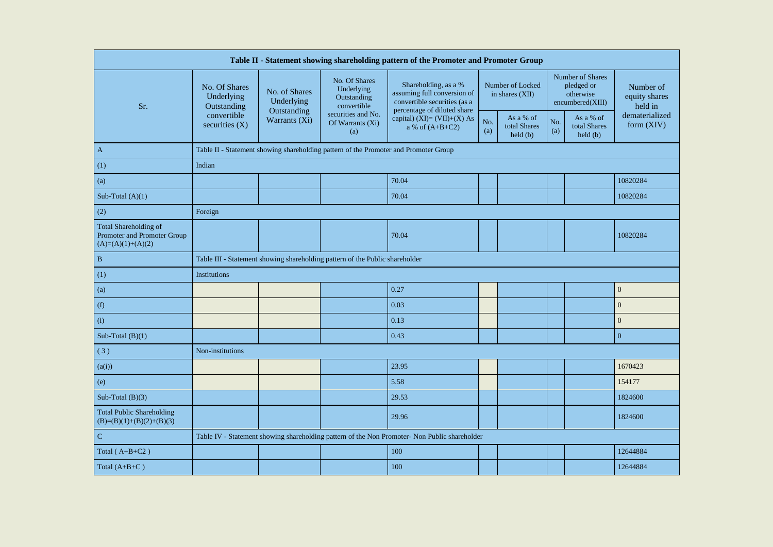| Table II - Statement showing shareholding pattern of the Promoter and Promoter Group |                                                                                               |                                                                                                                                                                                                                                                                                                                                                                                  |                                                                              |                                                     |            |                                                      |            |                                      |                                |  |  |
|--------------------------------------------------------------------------------------|-----------------------------------------------------------------------------------------------|----------------------------------------------------------------------------------------------------------------------------------------------------------------------------------------------------------------------------------------------------------------------------------------------------------------------------------------------------------------------------------|------------------------------------------------------------------------------|-----------------------------------------------------|------------|------------------------------------------------------|------------|--------------------------------------|--------------------------------|--|--|
| Sr.                                                                                  | No. Of Shares<br>Underlying<br>Outstanding                                                    | Number of Shares<br>No. Of Shares<br>Shareholding, as a %<br>Number of Locked<br>pledged or<br>Number of<br>Underlying<br>No. of Shares<br>assuming full conversion of<br>in shares (XII)<br>otherwise<br>equity shares<br>Outstanding<br>Underlying<br>convertible securities (as a<br>encumbered(XIII)<br>convertible<br>held in<br>Outstanding<br>percentage of diluted share |                                                                              |                                                     |            |                                                      |            |                                      |                                |  |  |
|                                                                                      | convertible<br>securities $(X)$                                                               | Warrants (Xi)                                                                                                                                                                                                                                                                                                                                                                    | securities and No.<br>Of Warrants (Xi)<br>(a)                                | capital) $(XI) = (VII)+(X) As$<br>a % of $(A+B+C2)$ | No.<br>(a) | As a % of<br>total Shares<br>$\text{held}(\text{b})$ | No.<br>(a) | As a % of<br>total Shares<br>held(b) | dematerialized<br>form $(XIV)$ |  |  |
| $\mathbf{A}$                                                                         | Table II - Statement showing shareholding pattern of the Promoter and Promoter Group          |                                                                                                                                                                                                                                                                                                                                                                                  |                                                                              |                                                     |            |                                                      |            |                                      |                                |  |  |
| (1)                                                                                  | Indian                                                                                        |                                                                                                                                                                                                                                                                                                                                                                                  |                                                                              |                                                     |            |                                                      |            |                                      |                                |  |  |
| (a)                                                                                  | 70.04<br>10820284                                                                             |                                                                                                                                                                                                                                                                                                                                                                                  |                                                                              |                                                     |            |                                                      |            |                                      |                                |  |  |
| Sub-Total $(A)(1)$                                                                   |                                                                                               |                                                                                                                                                                                                                                                                                                                                                                                  |                                                                              | 70.04                                               |            |                                                      |            |                                      | 10820284                       |  |  |
| (2)                                                                                  | Foreign                                                                                       |                                                                                                                                                                                                                                                                                                                                                                                  |                                                                              |                                                     |            |                                                      |            |                                      |                                |  |  |
| <b>Total Shareholding of</b><br>Promoter and Promoter Group<br>$(A)=(A)(1)+(A)(2)$   |                                                                                               |                                                                                                                                                                                                                                                                                                                                                                                  |                                                                              | 70.04                                               |            |                                                      |            |                                      | 10820284                       |  |  |
| $\, {\bf B}$                                                                         |                                                                                               |                                                                                                                                                                                                                                                                                                                                                                                  | Table III - Statement showing shareholding pattern of the Public shareholder |                                                     |            |                                                      |            |                                      |                                |  |  |
| (1)                                                                                  | Institutions                                                                                  |                                                                                                                                                                                                                                                                                                                                                                                  |                                                                              |                                                     |            |                                                      |            |                                      |                                |  |  |
| (a)                                                                                  |                                                                                               |                                                                                                                                                                                                                                                                                                                                                                                  |                                                                              | 0.27                                                |            |                                                      |            |                                      | $\boldsymbol{0}$               |  |  |
| (f)                                                                                  |                                                                                               |                                                                                                                                                                                                                                                                                                                                                                                  |                                                                              | 0.03                                                |            |                                                      |            |                                      | $\mathbf{0}$                   |  |  |
| (i)                                                                                  |                                                                                               |                                                                                                                                                                                                                                                                                                                                                                                  |                                                                              | 0.13                                                |            |                                                      |            |                                      | $\mathbf{0}$                   |  |  |
| Sub-Total $(B)(1)$                                                                   |                                                                                               |                                                                                                                                                                                                                                                                                                                                                                                  |                                                                              | 0.43                                                |            |                                                      |            |                                      | $\mathbf{0}$                   |  |  |
| (3)                                                                                  | Non-institutions                                                                              |                                                                                                                                                                                                                                                                                                                                                                                  |                                                                              |                                                     |            |                                                      |            |                                      |                                |  |  |
| (a(i))                                                                               |                                                                                               |                                                                                                                                                                                                                                                                                                                                                                                  |                                                                              | 23.95                                               |            |                                                      |            |                                      | 1670423                        |  |  |
| (e)                                                                                  |                                                                                               |                                                                                                                                                                                                                                                                                                                                                                                  |                                                                              | 5.58                                                |            |                                                      |            |                                      | 154177                         |  |  |
| Sub-Total $(B)(3)$                                                                   |                                                                                               |                                                                                                                                                                                                                                                                                                                                                                                  |                                                                              | 29.53                                               |            |                                                      |            |                                      | 1824600                        |  |  |
| <b>Total Public Shareholding</b><br>$(B)=(B)(1)+(B)(2)+(B)(3)$                       |                                                                                               |                                                                                                                                                                                                                                                                                                                                                                                  |                                                                              | 29.96                                               |            |                                                      |            |                                      | 1824600                        |  |  |
| $\mathbf C$                                                                          | Table IV - Statement showing shareholding pattern of the Non Promoter- Non Public shareholder |                                                                                                                                                                                                                                                                                                                                                                                  |                                                                              |                                                     |            |                                                      |            |                                      |                                |  |  |
| Total ( $A+B+C2$ )                                                                   |                                                                                               |                                                                                                                                                                                                                                                                                                                                                                                  |                                                                              | 100                                                 |            |                                                      |            |                                      | 12644884                       |  |  |
| Total $(A+B+C)$                                                                      |                                                                                               |                                                                                                                                                                                                                                                                                                                                                                                  |                                                                              | 100                                                 |            |                                                      |            |                                      | 12644884                       |  |  |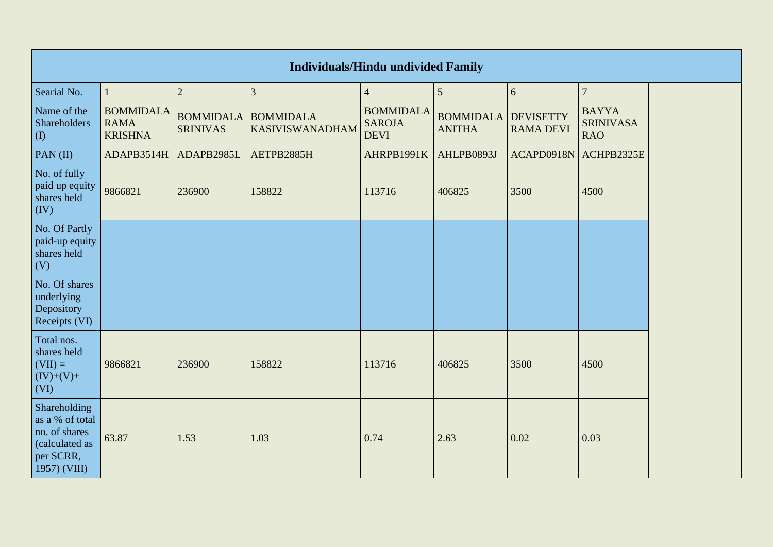|                                                                                                 |                                                   |                                     |                                            | <b>Individuals/Hindu undivided Family</b>        |                                   |                                      |                                                |
|-------------------------------------------------------------------------------------------------|---------------------------------------------------|-------------------------------------|--------------------------------------------|--------------------------------------------------|-----------------------------------|--------------------------------------|------------------------------------------------|
| Searial No.                                                                                     |                                                   | $\overline{2}$                      | $\mathfrak{Z}$                             | $\overline{4}$                                   | $5\overline{)}$                   | 6                                    | $\overline{7}$                                 |
| Name of the<br>Shareholders<br>$\left( \mathrm{I}\right)$                                       | <b>BOMMIDALA</b><br><b>RAMA</b><br><b>KRISHNA</b> | <b>BOMMIDALA</b><br><b>SRINIVAS</b> | <b>BOMMIDALA</b><br><b>KASIVISWANADHAM</b> | <b>BOMMIDALA</b><br><b>SAROJA</b><br><b>DEVI</b> | <b>BOMMIDALA</b><br><b>ANITHA</b> | <b>DEVISETTY</b><br><b>RAMA DEVI</b> | <b>BAYYA</b><br><b>SRINIVASA</b><br><b>RAO</b> |
| PAN $(II)$                                                                                      | ADAPB3514H                                        | ADAPB2985L                          | AETPB2885H                                 | AHRPB1991K                                       | AHLPB0893J                        | ACAPD0918N                           | ACHPB2325E                                     |
| No. of fully<br>paid up equity<br>shares held<br>(IV)                                           | 9866821                                           | 236900                              | 158822                                     | 113716                                           | 406825                            | 3500                                 | 4500                                           |
| No. Of Partly<br>paid-up equity<br>shares held<br>(V)                                           |                                                   |                                     |                                            |                                                  |                                   |                                      |                                                |
| No. Of shares<br>underlying<br>Depository<br>Receipts (VI)                                      |                                                   |                                     |                                            |                                                  |                                   |                                      |                                                |
| Total nos.<br>shares held<br>$(VII) =$<br>$(IV)+(V)+$<br>(VI)                                   | 9866821                                           | 236900                              | 158822                                     | 113716                                           | 406825                            | 3500                                 | 4500                                           |
| Shareholding<br>as a % of total<br>no. of shares<br>(calculated as<br>per SCRR,<br>1957) (VIII) | 63.87                                             | 1.53                                | 1.03                                       | 0.74                                             | 2.63                              | 0.02                                 | 0.03                                           |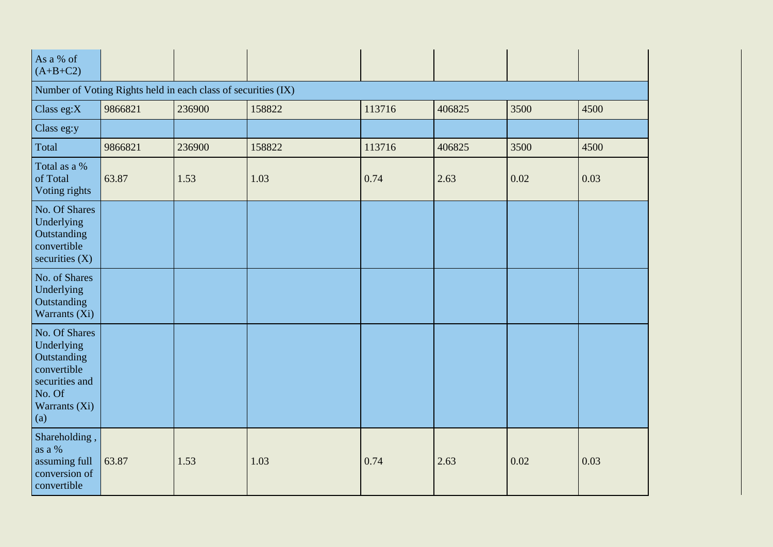| As a % of<br>$(A+B+C2)$                                                                                       |                                                               |        |        |        |        |      |      |
|---------------------------------------------------------------------------------------------------------------|---------------------------------------------------------------|--------|--------|--------|--------|------|------|
|                                                                                                               | Number of Voting Rights held in each class of securities (IX) |        |        |        |        |      |      |
| Class eg:X                                                                                                    | 9866821                                                       | 236900 | 158822 | 113716 | 406825 | 3500 | 4500 |
| Class eg:y                                                                                                    |                                                               |        |        |        |        |      |      |
| Total                                                                                                         | 9866821                                                       | 236900 | 158822 | 113716 | 406825 | 3500 | 4500 |
| Total as a %<br>of Total<br>Voting rights                                                                     | 63.87                                                         | 1.53   | 1.03   | 0.74   | 2.63   | 0.02 | 0.03 |
| No. Of Shares<br>Underlying<br>Outstanding<br>convertible<br>securities $(X)$                                 |                                                               |        |        |        |        |      |      |
| No. of Shares<br>Underlying<br>Outstanding<br>Warrants (Xi)                                                   |                                                               |        |        |        |        |      |      |
| No. Of Shares<br>Underlying<br>Outstanding<br>convertible<br>securities and<br>No. Of<br>Warrants (Xi)<br>(a) |                                                               |        |        |        |        |      |      |
| Shareholding,<br>as a %<br>assuming full<br>conversion of<br>convertible                                      | 63.87                                                         | 1.53   | 1.03   | 0.74   | 2.63   | 0.02 | 0.03 |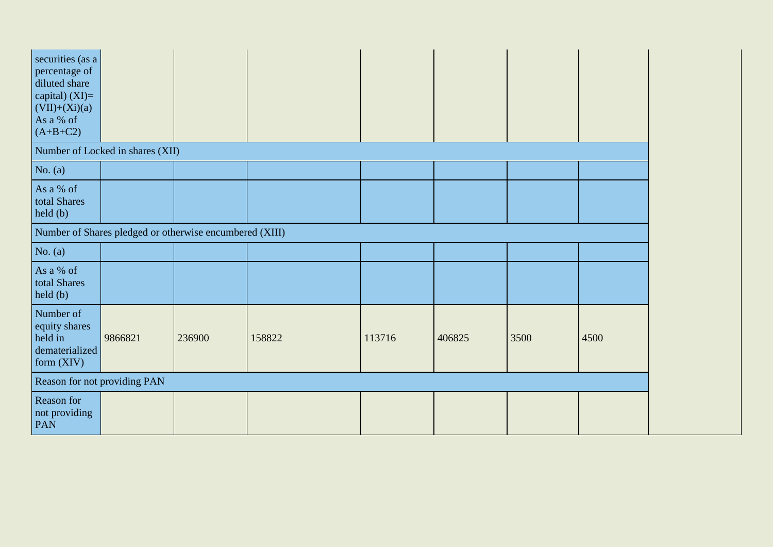| securities (as a<br>percentage of<br>diluted share<br>capital) $(XI)=$<br>$(VII)+(Xi)(a)$<br>As a % of<br>$(A+B+C2)$ |                                                         |        |        |        |        |      |      |
|----------------------------------------------------------------------------------------------------------------------|---------------------------------------------------------|--------|--------|--------|--------|------|------|
|                                                                                                                      | Number of Locked in shares (XII)                        |        |        |        |        |      |      |
| No. $(a)$                                                                                                            |                                                         |        |        |        |        |      |      |
| As a % of<br>total Shares<br>held(b)                                                                                 |                                                         |        |        |        |        |      |      |
|                                                                                                                      | Number of Shares pledged or otherwise encumbered (XIII) |        |        |        |        |      |      |
| No. $(a)$                                                                                                            |                                                         |        |        |        |        |      |      |
| As a % of<br>total Shares<br>held(b)                                                                                 |                                                         |        |        |        |        |      |      |
| Number of<br>equity shares<br>held in<br>dematerialized<br>form $(XIV)$                                              | 9866821                                                 | 236900 | 158822 | 113716 | 406825 | 3500 | 4500 |
| Reason for not providing PAN                                                                                         |                                                         |        |        |        |        |      |      |
| Reason for<br>not providing<br>PAN                                                                                   |                                                         |        |        |        |        |      |      |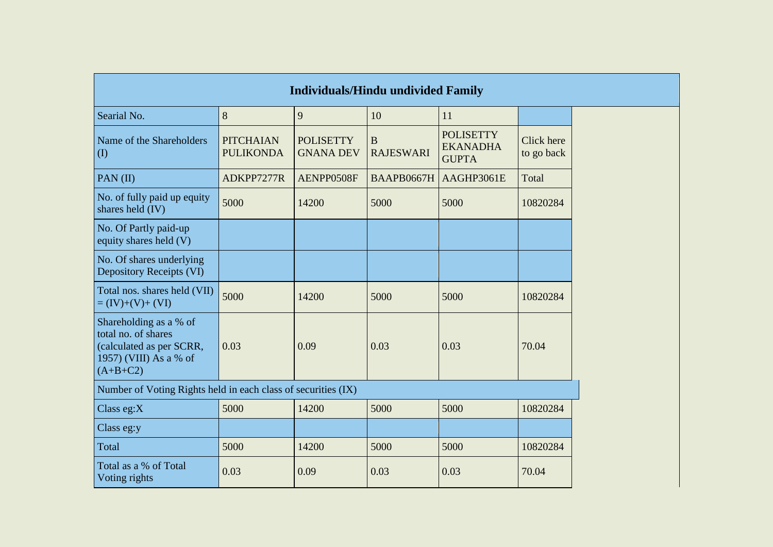|                                                                                                                   |                                      | <b>Individuals/Hindu undivided Family</b> |                                 |                                                     |                          |
|-------------------------------------------------------------------------------------------------------------------|--------------------------------------|-------------------------------------------|---------------------------------|-----------------------------------------------------|--------------------------|
| Searial No.                                                                                                       | 8                                    | 9                                         | 10                              | 11                                                  |                          |
| Name of the Shareholders<br>$\rm (I)$                                                                             | <b>PITCHAIAN</b><br><b>PULIKONDA</b> | <b>POLISETTY</b><br><b>GNANA DEV</b>      | $\mathbf B$<br><b>RAJESWARI</b> | <b>POLISETTY</b><br><b>EKANADHA</b><br><b>GUPTA</b> | Click here<br>to go back |
| PAN $(II)$                                                                                                        | ADKPP7277R                           | AENPP0508F                                | BAAPB0667H                      | AAGHP3061E                                          | Total                    |
| No. of fully paid up equity<br>shares held (IV)                                                                   | 5000                                 | 14200                                     | 5000                            | 5000                                                | 10820284                 |
| No. Of Partly paid-up<br>equity shares held (V)                                                                   |                                      |                                           |                                 |                                                     |                          |
| No. Of shares underlying<br>Depository Receipts (VI)                                                              |                                      |                                           |                                 |                                                     |                          |
| Total nos. shares held (VII)<br>$= (IV)+(V)+(VI)$                                                                 | 5000                                 | 14200                                     | 5000                            | 5000                                                | 10820284                 |
| Shareholding as a % of<br>total no. of shares<br>(calculated as per SCRR,<br>1957) (VIII) As a % of<br>$(A+B+C2)$ | 0.03                                 | 0.09                                      | 0.03                            | 0.03                                                | 70.04                    |
| Number of Voting Rights held in each class of securities (IX)                                                     |                                      |                                           |                                 |                                                     |                          |
| Class eg: $X$                                                                                                     | 5000                                 | 14200                                     | 5000                            | 5000                                                | 10820284                 |
| Class eg:y                                                                                                        |                                      |                                           |                                 |                                                     |                          |
| Total                                                                                                             | 5000                                 | 14200                                     | 5000                            | 5000                                                | 10820284                 |
| Total as a % of Total<br>Voting rights                                                                            | 0.03                                 | 0.09                                      | 0.03                            | 0.03                                                | 70.04                    |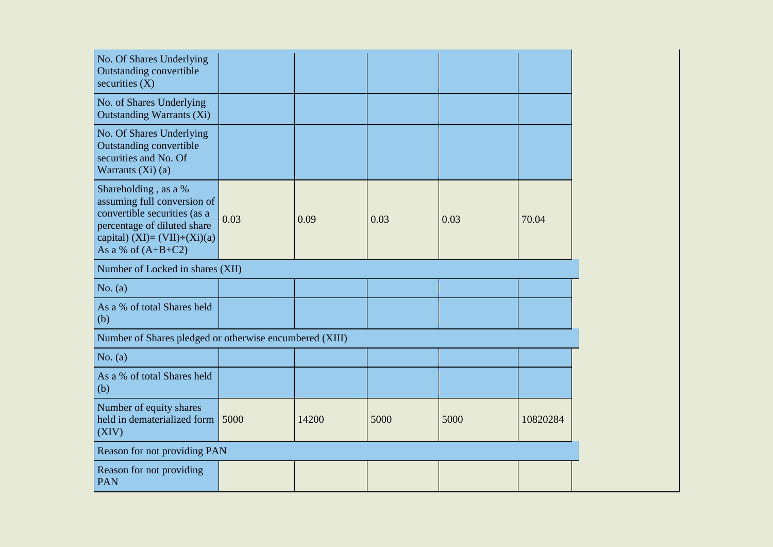| No. Of Shares Underlying<br><b>Outstanding convertible</b><br>securities $(X)$                                                                                                |      |       |      |      |          |
|-------------------------------------------------------------------------------------------------------------------------------------------------------------------------------|------|-------|------|------|----------|
| No. of Shares Underlying<br><b>Outstanding Warrants (Xi)</b>                                                                                                                  |      |       |      |      |          |
| No. Of Shares Underlying<br><b>Outstanding convertible</b><br>securities and No. Of<br>Warrants $(Xi)$ (a)                                                                    |      |       |      |      |          |
| Shareholding, as a %<br>assuming full conversion of<br>convertible securities (as a<br>percentage of diluted share<br>capital) $(XI) = (VII)+(Xi)(a)$<br>As a % of $(A+B+C2)$ | 0.03 | 0.09  | 0.03 | 0.03 | 70.04    |
| Number of Locked in shares (XII)                                                                                                                                              |      |       |      |      |          |
| No. (a)                                                                                                                                                                       |      |       |      |      |          |
| As a % of total Shares held<br>(b)                                                                                                                                            |      |       |      |      |          |
| Number of Shares pledged or otherwise encumbered (XIII)                                                                                                                       |      |       |      |      |          |
| No. (a)                                                                                                                                                                       |      |       |      |      |          |
| As a % of total Shares held<br>(b)                                                                                                                                            |      |       |      |      |          |
| Number of equity shares<br>held in dematerialized form<br>(XIV)                                                                                                               | 5000 | 14200 | 5000 | 5000 | 10820284 |
| Reason for not providing PAN                                                                                                                                                  |      |       |      |      |          |
| Reason for not providing<br><b>PAN</b>                                                                                                                                        |      |       |      |      |          |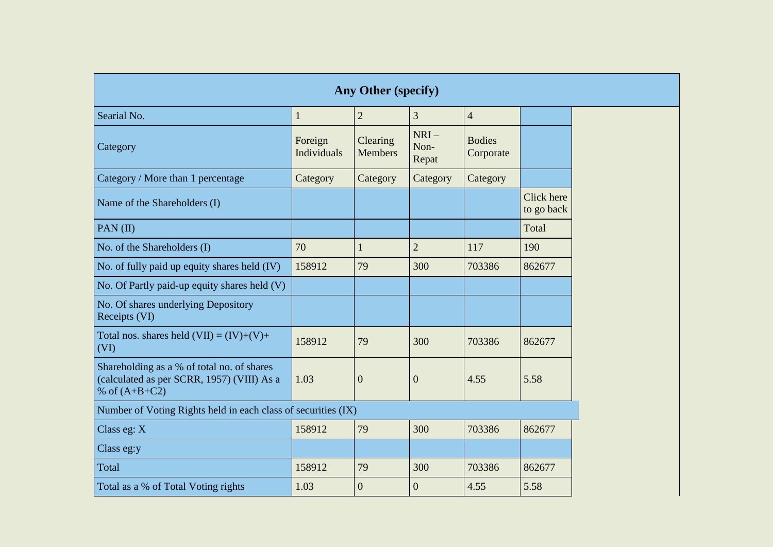| Any Other (specify)                                                                                         |                        |                            |                         |                            |                          |  |  |  |
|-------------------------------------------------------------------------------------------------------------|------------------------|----------------------------|-------------------------|----------------------------|--------------------------|--|--|--|
| Searial No.                                                                                                 | $\mathbf{1}$           | $\overline{2}$             | 3                       | $\overline{4}$             |                          |  |  |  |
| Category                                                                                                    | Foreign<br>Individuals | Clearing<br><b>Members</b> | $NRI-$<br>Non-<br>Repat | <b>Bodies</b><br>Corporate |                          |  |  |  |
| Category / More than 1 percentage                                                                           | Category               | Category                   | Category                | Category                   |                          |  |  |  |
| Name of the Shareholders (I)                                                                                |                        |                            |                         |                            | Click here<br>to go back |  |  |  |
| PAN $(II)$                                                                                                  |                        |                            |                         |                            | Total                    |  |  |  |
| No. of the Shareholders (I)                                                                                 | 70                     | $\mathbf{1}$               | $\overline{2}$          | 117                        | 190                      |  |  |  |
| No. of fully paid up equity shares held (IV)                                                                | 158912                 | 79                         | 300                     | 703386                     | 862677                   |  |  |  |
| No. Of Partly paid-up equity shares held (V)                                                                |                        |                            |                         |                            |                          |  |  |  |
| No. Of shares underlying Depository<br>Receipts (VI)                                                        |                        |                            |                         |                            |                          |  |  |  |
| Total nos. shares held $(VII) = (IV)+(V)+$<br>(VI)                                                          | 158912                 | 79                         | 300                     | 703386                     | 862677                   |  |  |  |
| Shareholding as a % of total no. of shares<br>(calculated as per SCRR, 1957) (VIII) As a<br>% of $(A+B+C2)$ | 1.03                   | $\overline{0}$             | $\overline{0}$          | 4.55                       | 5.58                     |  |  |  |
| Number of Voting Rights held in each class of securities (IX)                                               |                        |                            |                         |                            |                          |  |  |  |
| Class eg: X                                                                                                 | 158912                 | 79                         | 300                     | 703386                     | 862677                   |  |  |  |
| Class eg:y                                                                                                  |                        |                            |                         |                            |                          |  |  |  |
| Total                                                                                                       | 158912                 | 79                         | 300                     | 703386                     | 862677                   |  |  |  |
| Total as a % of Total Voting rights                                                                         | 1.03                   | $\overline{0}$             | $\overline{0}$          | 4.55                       | 5.58                     |  |  |  |